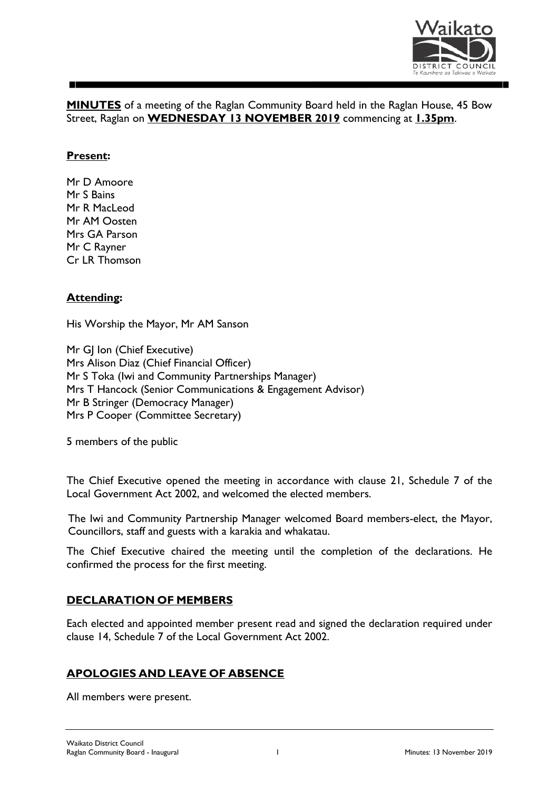

**MINUTES** of a meeting of the Raglan Community Board held in the Raglan House, 45 Bow Street, Raglan on **WEDNESDAY 13 NOVEMBER 2019** commencing at **1.35pm**.

#### **Present:**

Mr D Amoore Mr S Bains Mr R MacLeod Mr AM Oosten Mrs GA Parson Mr C Rayner Cr LR Thomson

### **Attending:**

His Worship the Mayor, Mr AM Sanson

Mr GJ Ion (Chief Executive) Mrs Alison Diaz (Chief Financial Officer) Mr S Toka (Iwi and Community Partnerships Manager) Mrs T Hancock (Senior Communications & Engagement Advisor) Mr B Stringer (Democracy Manager) Mrs P Cooper (Committee Secretary)

5 members of the public

The Chief Executive opened the meeting in accordance with clause 21, Schedule 7 of the Local Government Act 2002, and welcomed the elected members.

The Iwi and Community Partnership Manager welcomed Board members-elect, the Mayor, Councillors, staff and guests with a karakia and whakatau.

The Chief Executive chaired the meeting until the completion of the declarations. He confirmed the process for the first meeting.

### **DECLARATION OF MEMBERS**

Each elected and appointed member present read and signed the declaration required under clause 14, Schedule 7 of the Local Government Act 2002.

### **APOLOGIES AND LEAVE OF ABSENCE**

All members were present.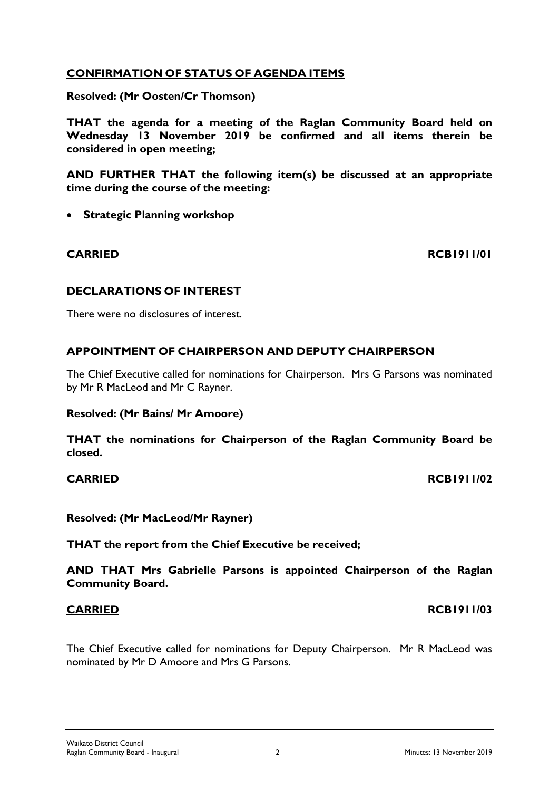# **CONFIRMATION OF STATUS OF AGENDA ITEMS**

**Resolved: (Mr Oosten/Cr Thomson)**

**THAT the agenda for a meeting of the Raglan Community Board held on Wednesday 13 November 2019 be confirmed and all items therein be considered in open meeting;**

**AND FURTHER THAT the following item(s) be discussed at an appropriate time during the course of the meeting:**

• **Strategic Planning workshop**

**CARRIED RCB1911/01**

# **DECLARATIONS OF INTEREST**

There were no disclosures of interest.

# **APPOINTMENT OF CHAIRPERSON AND DEPUTY CHAIRPERSON**

The Chief Executive called for nominations for Chairperson. Mrs G Parsons was nominated by Mr R MacLeod and Mr C Rayner.

### **Resolved: (Mr Bains/ Mr Amoore)**

**THAT the nominations for Chairperson of the Raglan Community Board be closed.**

## **CARRIED RCB1911/02**

# **Resolved: (Mr MacLeod/Mr Rayner)**

**THAT the report from the Chief Executive be received;** 

**AND THAT Mrs Gabrielle Parsons is appointed Chairperson of the Raglan Community Board.**

The Chief Executive called for nominations for Deputy Chairperson. Mr R MacLeod was nominated by Mr D Amoore and Mrs G Parsons.

**CARRIED RCB1911/03**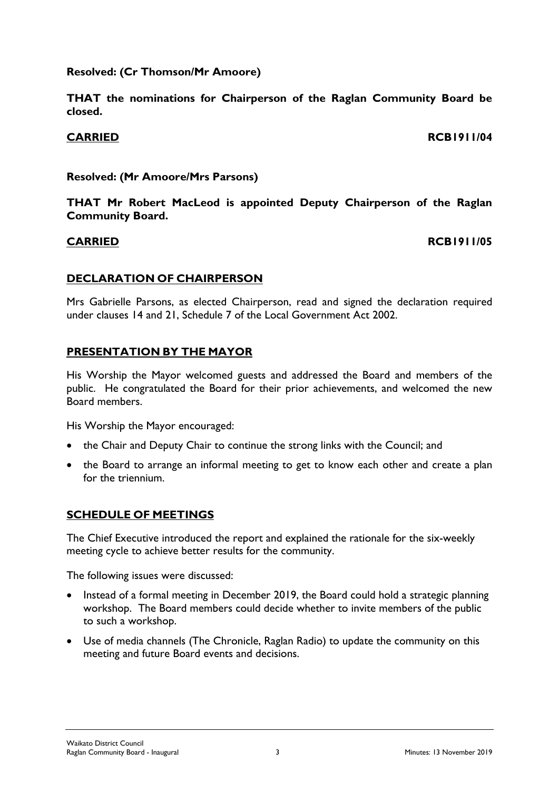## **Resolved: (Cr Thomson/Mr Amoore)**

**THAT the nominations for Chairperson of the Raglan Community Board be closed.**

# **CARRIED RCB1911/04**

## **Resolved: (Mr Amoore/Mrs Parsons)**

**THAT Mr Robert MacLeod is appointed Deputy Chairperson of the Raglan Community Board.**

## **CARRIED RCB1911/05**

## **DECLARATION OF CHAIRPERSON**

Mrs Gabrielle Parsons, as elected Chairperson, read and signed the declaration required under clauses 14 and 21, Schedule 7 of the Local Government Act 2002.

## **PRESENTATION BY THE MAYOR**

His Worship the Mayor welcomed guests and addressed the Board and members of the public. He congratulated the Board for their prior achievements, and welcomed the new Board members.

His Worship the Mayor encouraged:

- the Chair and Deputy Chair to continue the strong links with the Council; and
- the Board to arrange an informal meeting to get to know each other and create a plan for the triennium.

# **SCHEDULE OF MEETINGS**

The Chief Executive introduced the report and explained the rationale for the six-weekly meeting cycle to achieve better results for the community.

The following issues were discussed:

- Instead of a formal meeting in December 2019, the Board could hold a strategic planning workshop. The Board members could decide whether to invite members of the public to such a workshop.
- Use of media channels (The Chronicle, Raglan Radio) to update the community on this meeting and future Board events and decisions.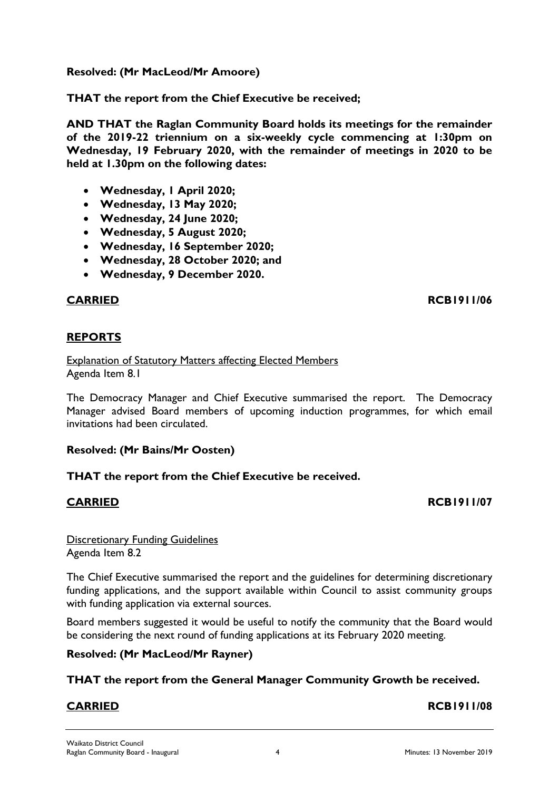## **Resolved: (Mr MacLeod/Mr Amoore)**

**THAT the report from the Chief Executive be received;** 

**AND THAT the Raglan Community Board holds its meetings for the remainder of the 2019-22 triennium on a six-weekly cycle commencing at 1:30pm on Wednesday, 19 February 2020, with the remainder of meetings in 2020 to be held at 1.30pm on the following dates:**

- **Wednesday, 1 April 2020;**
- **Wednesday, 13 May 2020;**
- **Wednesday, 24 June 2020;**
- **Wednesday, 5 August 2020;**
- **Wednesday, 16 September 2020;**
- **Wednesday, 28 October 2020; and**
- **Wednesday, 9 December 2020.**

### **CARRIED RCB1911/06**

### **REPORTS**

Explanation of Statutory Matters affecting Elected Members Agenda Item 8.1

The Democracy Manager and Chief Executive summarised the report. The Democracy Manager advised Board members of upcoming induction programmes, for which email invitations had been circulated.

### **Resolved: (Mr Bains/Mr Oosten)**

### **THAT the report from the Chief Executive be received.**

### **CARRIED RCB1911/07**

Discretionary Funding Guidelines Agenda Item 8.2

The Chief Executive summarised the report and the guidelines for determining discretionary funding applications, and the support available within Council to assist community groups with funding application via external sources.

Board members suggested it would be useful to notify the community that the Board would be considering the next round of funding applications at its February 2020 meeting.

### **Resolved: (Mr MacLeod/Mr Rayner)**

### **THAT the report from the General Manager Community Growth be received.**

# **CARRIED RCB1911/08**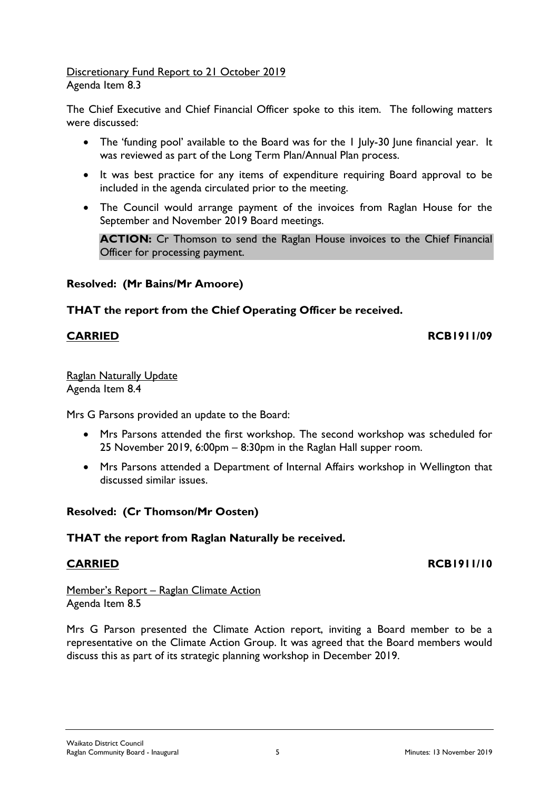#### Discretionary Fund Report to 21 October 2019 Agenda Item 8.3

The Chief Executive and Chief Financial Officer spoke to this item. The following matters were discussed:

- The 'funding pool' available to the Board was for the I July-30 June financial year. It was reviewed as part of the Long Term Plan/Annual Plan process.
- It was best practice for any items of expenditure requiring Board approval to be included in the agenda circulated prior to the meeting.
- The Council would arrange payment of the invoices from Raglan House for the September and November 2019 Board meetings.

**ACTION:** Cr Thomson to send the Raglan House invoices to the Chief Financial Officer for processing payment.

# **Resolved: (Mr Bains/Mr Amoore)**

## **THAT the report from the Chief Operating Officer be received.**

#### **CARRIED RCB1911/09**

Raglan Naturally Update Agenda Item 8.4

Mrs G Parsons provided an update to the Board:

- Mrs Parsons attended the first workshop. The second workshop was scheduled for 25 November 2019, 6:00pm – 8:30pm in the Raglan Hall supper room.
- Mrs Parsons attended a Department of Internal Affairs workshop in Wellington that discussed similar issues.

# **Resolved: (Cr Thomson/Mr Oosten)**

### **THAT the report from Raglan Naturally be received.**

# **CARRIED RCB1911/10**

Member's Report – Raglan Climate Action Agenda Item 8.5

Mrs G Parson presented the Climate Action report, inviting a Board member to be a representative on the Climate Action Group. It was agreed that the Board members would discuss this as part of its strategic planning workshop in December 2019.